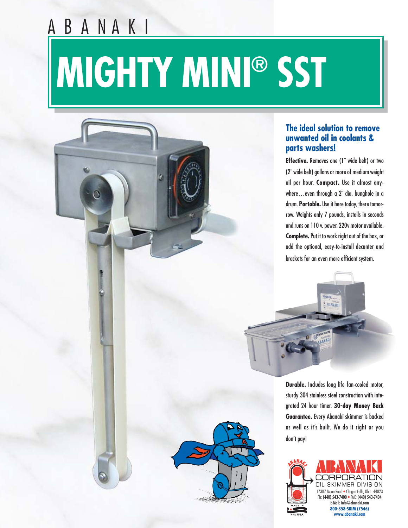# **MIGHTY MINI® SST**

B A N A K I

#### **The ideal solution to remove unwanted oil in coolants & parts washers!**

**Effective.** Removes one (1˝ wide belt) or two (2˝ wide belt) gallons or more of medium weight oil per hour. **Compact.** Use it almost anywhere…even through a 2˝ dia. bunghole in a drum. **Portable.** Use it here today, there tomorrow. Weights only 7 pounds, installs in seconds and runs on 110 v. power. 220v motor available. **Complete.**Put it to work right out of the box, or add the optional, easy-to-install decanter and brackets for an even more efficient system.

> MIGHTU **LABARAKI**

**PARAKI** 

**Durable.** Includes long life fan-cooled motor, sturdy 304 stainless steel construction with integrated 24 hour timer. **30-day Money Back Guarantee.** Every Abanaki skimmer is backed as well as it's built. We do it right or you don't pay!